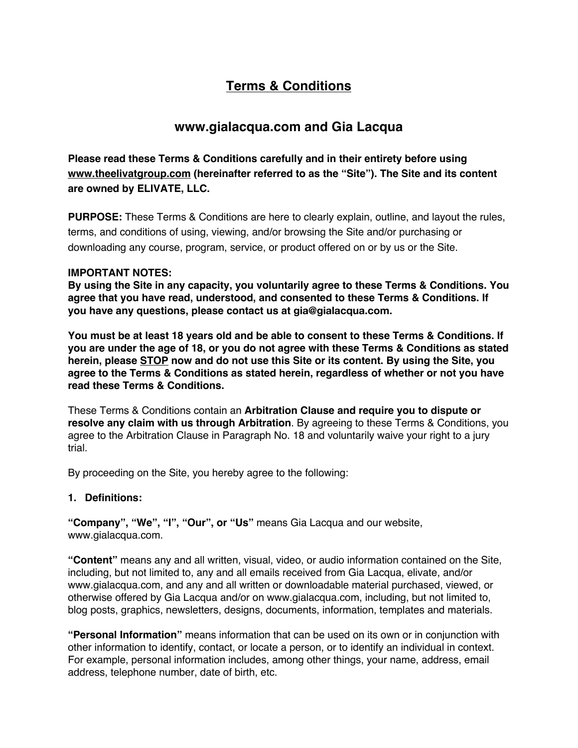# **Terms & Conditions**

# **www.gialacqua.com and Gia Lacqua**

**Please read these Terms & Conditions carefully and in their entirety before using www.theelivatgroup.com (hereinafter referred to as the "Site"). The Site and its content are owned by ELIVATE, LLC.**

**PURPOSE:** These Terms & Conditions are here to clearly explain, outline, and layout the rules, terms, and conditions of using, viewing, and/or browsing the Site and/or purchasing or downloading any course, program, service, or product offered on or by us or the Site.

# **IMPORTANT NOTES:**

**By using the Site in any capacity, you voluntarily agree to these Terms & Conditions. You agree that you have read, understood, and consented to these Terms & Conditions. If you have any questions, please contact us at gia@gialacqua.com.**

**You must be at least 18 years old and be able to consent to these Terms & Conditions. If you are under the age of 18, or you do not agree with these Terms & Conditions as stated herein, please STOP now and do not use this Site or its content. By using the Site, you agree to the Terms & Conditions as stated herein, regardless of whether or not you have read these Terms & Conditions.**

These Terms & Conditions contain an **Arbitration Clause and require you to dispute or resolve any claim with us through Arbitration**. By agreeing to these Terms & Conditions, you agree to the Arbitration Clause in Paragraph No. 18 and voluntarily waive your right to a jury trial.

By proceeding on the Site, you hereby agree to the following:

# **1. Definitions:**

**"Company", "We", "I", "Our", or "Us"** means Gia Lacqua and our website, www.gialacqua.com.

**"Content"** means any and all written, visual, video, or audio information contained on the Site, including, but not limited to, any and all emails received from Gia Lacqua, elivate, and/or www.gialacqua.com, and any and all written or downloadable material purchased, viewed, or otherwise offered by Gia Lacqua and/or on www.gialacqua.com, including, but not limited to, blog posts, graphics, newsletters, designs, documents, information, templates and materials.

**"Personal Information"** means information that can be used on its own or in conjunction with other information to identify, contact, or locate a person, or to identify an individual in context. For example, personal information includes, among other things, your name, address, email address, telephone number, date of birth, etc.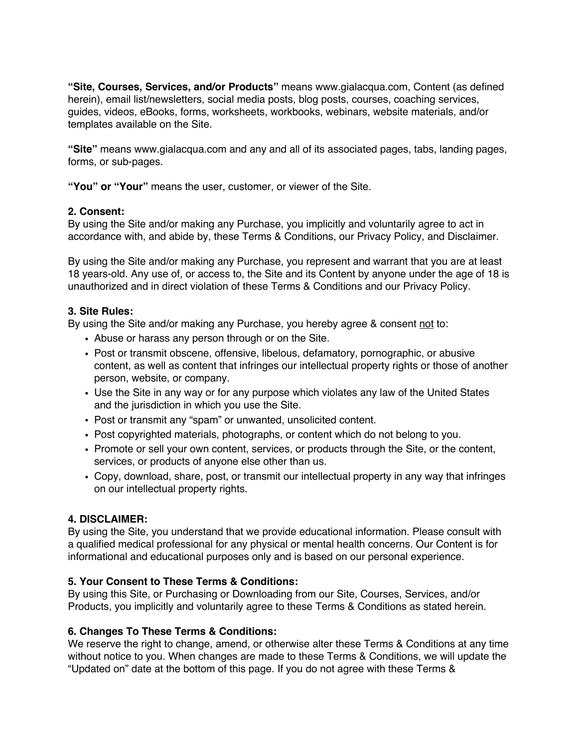**"Site, Courses, Services, and/or Products"** means www.gialacqua.com, Content (as defined herein), email list/newsletters, social media posts, blog posts, courses, coaching services, guides, videos, eBooks, forms, worksheets, workbooks, webinars, website materials, and/or templates available on the Site.

**"Site"** means www.gialacqua.com and any and all of its associated pages, tabs, landing pages, forms, or sub-pages.

**"You" or "Your"** means the user, customer, or viewer of the Site.

## **2. Consent:**

By using the Site and/or making any Purchase, you implicitly and voluntarily agree to act in accordance with, and abide by, these Terms & Conditions, our Privacy Policy, and Disclaimer.

By using the Site and/or making any Purchase, you represent and warrant that you are at least 18 years-old. Any use of, or access to, the Site and its Content by anyone under the age of 18 is unauthorized and in direct violation of these Terms & Conditions and our Privacy Policy.

#### **3. Site Rules:**

By using the Site and/or making any Purchase, you hereby agree & consent not to:

- Abuse or harass any person through or on the Site.
- ! Post or transmit obscene, offensive, libelous, defamatory, pornographic, or abusive content, as well as content that infringes our intellectual property rights or those of another person, website, or company.
- Use the Site in any way or for any purpose which violates any law of the United States and the jurisdiction in which you use the Site.
- ! Post or transmit any "spam" or unwanted, unsolicited content.
- ! Post copyrighted materials, photographs, or content which do not belong to you.
- ! Promote or sell your own content, services, or products through the Site, or the content, services, or products of anyone else other than us.
- ! Copy, download, share, post, or transmit our intellectual property in any way that infringes on our intellectual property rights.

## **4. DISCLAIMER:**

By using the Site, you understand that we provide educational information. Please consult with a qualified medical professional for any physical or mental health concerns. Our Content is for informational and educational purposes only and is based on our personal experience.

#### **5. Your Consent to These Terms & Conditions:**

By using this Site, or Purchasing or Downloading from our Site, Courses, Services, and/or Products, you implicitly and voluntarily agree to these Terms & Conditions as stated herein.

## **6. Changes To These Terms & Conditions:**

We reserve the right to change, amend, or otherwise alter these Terms & Conditions at any time without notice to you. When changes are made to these Terms & Conditions, we will update the "Updated on" date at the bottom of this page. If you do not agree with these Terms &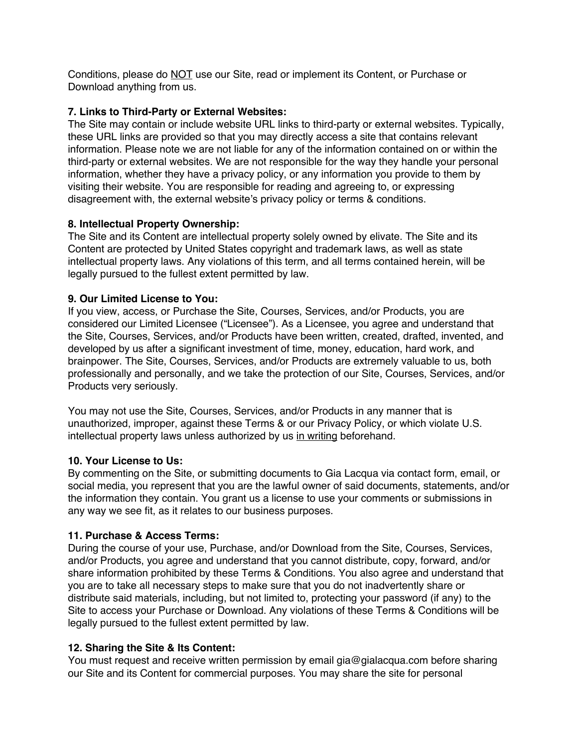Conditions, please do NOT use our Site, read or implement its Content, or Purchase or Download anything from us.

## **7. Links to Third-Party or External Websites:**

The Site may contain or include website URL links to third-party or external websites. Typically, these URL links are provided so that you may directly access a site that contains relevant information. Please note we are not liable for any of the information contained on or within the third-party or external websites. We are not responsible for the way they handle your personal information, whether they have a privacy policy, or any information you provide to them by visiting their website. You are responsible for reading and agreeing to, or expressing disagreement with, the external website's privacy policy or terms & conditions.

# **8. Intellectual Property Ownership:**

The Site and its Content are intellectual property solely owned by elivate. The Site and its Content are protected by United States copyright and trademark laws, as well as state intellectual property laws. Any violations of this term, and all terms contained herein, will be legally pursued to the fullest extent permitted by law.

# **9. Our Limited License to You:**

If you view, access, or Purchase the Site, Courses, Services, and/or Products, you are considered our Limited Licensee ("Licensee"). As a Licensee, you agree and understand that the Site, Courses, Services, and/or Products have been written, created, drafted, invented, and developed by us after a significant investment of time, money, education, hard work, and brainpower. The Site, Courses, Services, and/or Products are extremely valuable to us, both professionally and personally, and we take the protection of our Site, Courses, Services, and/or Products very seriously.

You may not use the Site, Courses, Services, and/or Products in any manner that is unauthorized, improper, against these Terms & or our Privacy Policy, or which violate U.S. intellectual property laws unless authorized by us in writing beforehand.

## **10. Your License to Us:**

By commenting on the Site, or submitting documents to Gia Lacqua via contact form, email, or social media, you represent that you are the lawful owner of said documents, statements, and/or the information they contain. You grant us a license to use your comments or submissions in any way we see fit, as it relates to our business purposes.

## **11. Purchase & Access Terms:**

During the course of your use, Purchase, and/or Download from the Site, Courses, Services, and/or Products, you agree and understand that you cannot distribute, copy, forward, and/or share information prohibited by these Terms & Conditions. You also agree and understand that you are to take all necessary steps to make sure that you do not inadvertently share or distribute said materials, including, but not limited to, protecting your password (if any) to the Site to access your Purchase or Download. Any violations of these Terms & Conditions will be legally pursued to the fullest extent permitted by law.

## **12. Sharing the Site & Its Content:**

You must request and receive written permission by email gia@gialacqua.com before sharing our Site and its Content for commercial purposes. You may share the site for personal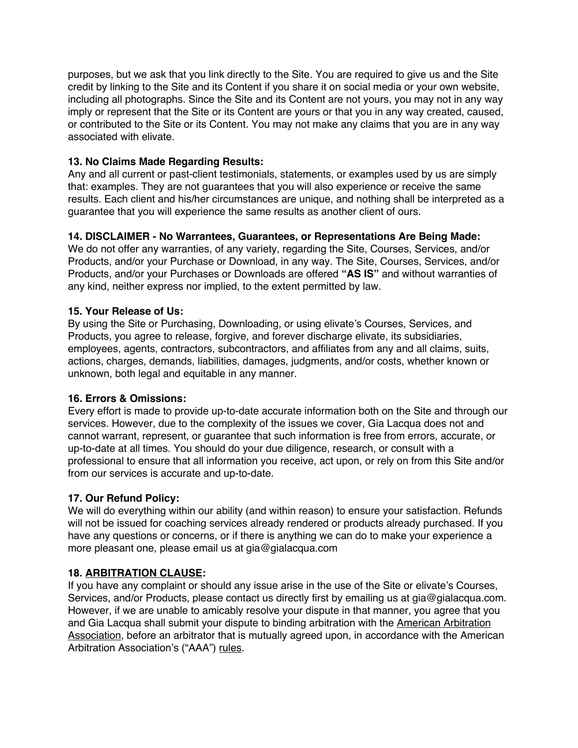purposes, but we ask that you link directly to the Site. You are required to give us and the Site credit by linking to the Site and its Content if you share it on social media or your own website, including all photographs. Since the Site and its Content are not yours, you may not in any way imply or represent that the Site or its Content are yours or that you in any way created, caused, or contributed to the Site or its Content. You may not make any claims that you are in any way associated with elivate.

# **13. No Claims Made Regarding Results:**

Any and all current or past-client testimonials, statements, or examples used by us are simply that: examples. They are not guarantees that you will also experience or receive the same results. Each client and his/her circumstances are unique, and nothing shall be interpreted as a guarantee that you will experience the same results as another client of ours.

## **14. DISCLAIMER - No Warrantees, Guarantees, or Representations Are Being Made:**

We do not offer any warranties, of any variety, regarding the Site, Courses, Services, and/or Products, and/or your Purchase or Download, in any way. The Site, Courses, Services, and/or Products, and/or your Purchases or Downloads are offered **"AS IS"** and without warranties of any kind, neither express nor implied, to the extent permitted by law.

## **15. Your Release of Us:**

By using the Site or Purchasing, Downloading, or using elivate's Courses, Services, and Products, you agree to release, forgive, and forever discharge elivate, its subsidiaries, employees, agents, contractors, subcontractors, and affiliates from any and all claims, suits, actions, charges, demands, liabilities, damages, judgments, and/or costs, whether known or unknown, both legal and equitable in any manner.

## **16. Errors & Omissions:**

Every effort is made to provide up-to-date accurate information both on the Site and through our services. However, due to the complexity of the issues we cover, Gia Lacqua does not and cannot warrant, represent, or guarantee that such information is free from errors, accurate, or up-to-date at all times. You should do your due diligence, research, or consult with a professional to ensure that all information you receive, act upon, or rely on from this Site and/or from our services is accurate and up-to-date.

## **17. Our Refund Policy:**

We will do everything within our ability (and within reason) to ensure your satisfaction. Refunds will not be issued for coaching services already rendered or products already purchased. If you have any questions or concerns, or if there is anything we can do to make your experience a more pleasant one, please email us at gia@gialacqua.com

## **18. ARBITRATION CLAUSE:**

If you have any complaint or should any issue arise in the use of the Site or elivate's Courses, Services, and/or Products, please contact us directly first by emailing us at gia@gialacqua.com. However, if we are unable to amicably resolve your dispute in that manner, you agree that you and Gia Lacqua shall submit your dispute to binding arbitration with the American Arbitration Association, before an arbitrator that is mutually agreed upon, in accordance with the American Arbitration Association's ("AAA") rules.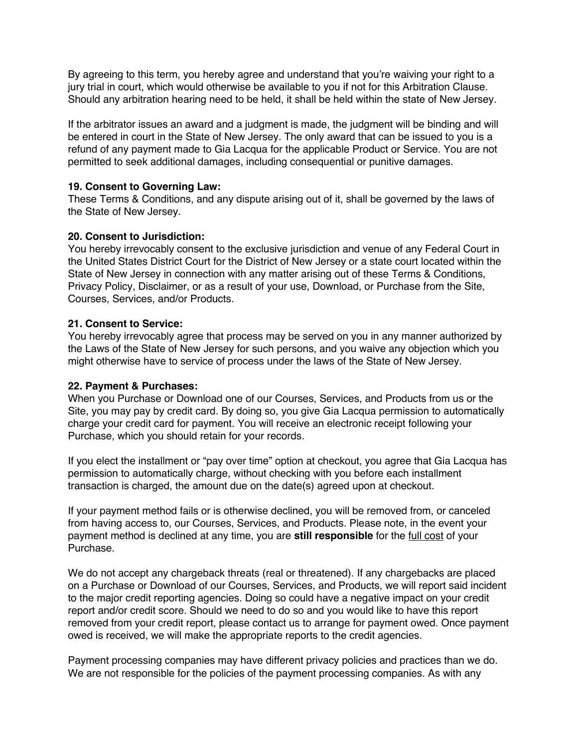By agreeing to this term, you hereby agree and understand that you're waiving your right to a jury trial in court, which would otherwise be available to you if not for this Arbitration Clause. Should any arbitration hearing need to be held, it shall be held within the state of New Jersey.

If the arbitrator issues an award and a judgment is made, the judgment will be binding and will be entered in court in the State of New Jersey. The only award that can be issued to you is a refund of any payment made to Gia Lacqua for the applicable Product or Service. You are not permitted to seek additional damages, including consequential or punitive damages.

## **19. Consent to Governing Law:**

These Terms & Conditions, and any dispute arising out of it, shall be governed by the laws of the State of New Jersey.

#### **20. Consent to Jurisdiction:**

You hereby irrevocably consent to the exclusive jurisdiction and venue of any Federal Court in the United States District Court for the District of New Jersey or a state court located within the State of New Jersey in connection with any matter arising out of these Terms & Conditions, Privacy Policy, Disclaimer, or as a result of your use, Download, or Purchase from the Site, Courses, Services, and/or Products.

#### **21. Consent to Service:**

You hereby irrevocably agree that process may be served on you in any manner authorized by the Laws of the State of New Jersey for such persons, and you waive any objection which you might otherwise have to service of process under the laws of the State of New Jersey.

## **22. Payment & Purchases:**

When you Purchase or Download one of our Courses, Services, and Products from us or the Site, you may pay by credit card. By doing so, you give Gia Lacqua permission to automatically charge your credit card for payment. You will receive an electronic receipt following your Purchase, which you should retain for your records.

If you elect the installment or "pay over time" option at checkout, you agree that Gia Lacqua has permission to automatically charge, without checking with you before each installment transaction is charged, the amount due on the date(s) agreed upon at checkout.

If your payment method fails or is otherwise declined, you will be removed from, or canceled from having access to, our Courses, Services, and Products. Please note, in the event your payment method is declined at any time, you are **still responsible** for the full cost of your Purchase.

We do not accept any chargeback threats (real or threatened). If any chargebacks are placed on a Purchase or Download of our Courses, Services, and Products, we will report said incident to the major credit reporting agencies. Doing so could have a negative impact on your credit report and/or credit score. Should we need to do so and you would like to have this report removed from your credit report, please contact us to arrange for payment owed. Once payment owed is received, we will make the appropriate reports to the credit agencies.

Payment processing companies may have different privacy policies and practices than we do. We are not responsible for the policies of the payment processing companies. As with any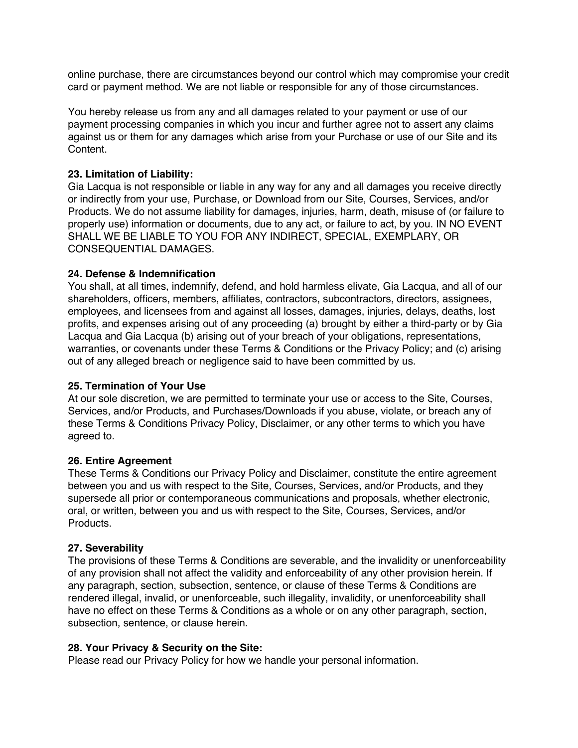online purchase, there are circumstances beyond our control which may compromise your credit card or payment method. We are not liable or responsible for any of those circumstances.

You hereby release us from any and all damages related to your payment or use of our payment processing companies in which you incur and further agree not to assert any claims against us or them for any damages which arise from your Purchase or use of our Site and its Content.

## **23. Limitation of Liability:**

Gia Lacqua is not responsible or liable in any way for any and all damages you receive directly or indirectly from your use, Purchase, or Download from our Site, Courses, Services, and/or Products. We do not assume liability for damages, injuries, harm, death, misuse of (or failure to properly use) information or documents, due to any act, or failure to act, by you. IN NO EVENT SHALL WE BE LIABLE TO YOU FOR ANY INDIRECT, SPECIAL, EXEMPLARY, OR CONSEQUENTIAL DAMAGES.

#### **24. Defense & Indemnification**

You shall, at all times, indemnify, defend, and hold harmless elivate, Gia Lacqua, and all of our shareholders, officers, members, affiliates, contractors, subcontractors, directors, assignees, employees, and licensees from and against all losses, damages, injuries, delays, deaths, lost profits, and expenses arising out of any proceeding (a) brought by either a third-party or by Gia Lacqua and Gia Lacqua (b) arising out of your breach of your obligations, representations, warranties, or covenants under these Terms & Conditions or the Privacy Policy; and (c) arising out of any alleged breach or negligence said to have been committed by us.

#### **25. Termination of Your Use**

At our sole discretion, we are permitted to terminate your use or access to the Site, Courses, Services, and/or Products, and Purchases/Downloads if you abuse, violate, or breach any of these Terms & Conditions Privacy Policy, Disclaimer, or any other terms to which you have agreed to.

#### **26. Entire Agreement**

These Terms & Conditions our Privacy Policy and Disclaimer, constitute the entire agreement between you and us with respect to the Site, Courses, Services, and/or Products, and they supersede all prior or contemporaneous communications and proposals, whether electronic, oral, or written, between you and us with respect to the Site, Courses, Services, and/or Products.

## **27. Severability**

The provisions of these Terms & Conditions are severable, and the invalidity or unenforceability of any provision shall not affect the validity and enforceability of any other provision herein. If any paragraph, section, subsection, sentence, or clause of these Terms & Conditions are rendered illegal, invalid, or unenforceable, such illegality, invalidity, or unenforceability shall have no effect on these Terms & Conditions as a whole or on any other paragraph, section, subsection, sentence, or clause herein.

#### **28. Your Privacy & Security on the Site:**

Please read our Privacy Policy for how we handle your personal information.